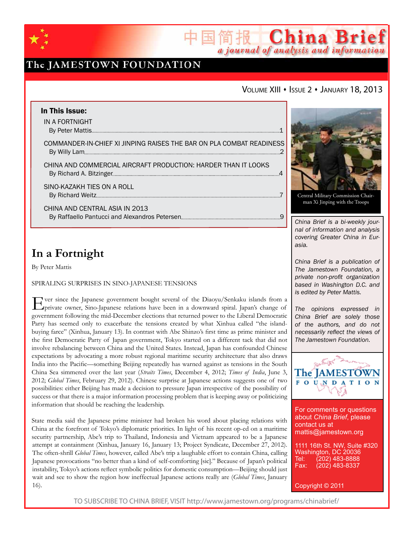

## The JAMESTOWN FOUNDATION

### VOLUME XIII · ISSUE 2 · JANUARY 18, 2013

简报 China Brief

a journal of analysis and information

| In This Issue:                                                       |  |
|----------------------------------------------------------------------|--|
| IN A FORTNIGHT                                                       |  |
|                                                                      |  |
| COMMANDER-IN-CHIEF XI JINPING RAISES THE BAR ON PLA COMBAT READINESS |  |
| CHINA AND COMMERCIAL AIRCRAFT PRODUCTION: HARDER THAN IT LOOKS       |  |
| SINO-KAZAKH TIES ON A ROLL                                           |  |
| CHINA AND CENTRAL ASIA IN 2013                                       |  |
|                                                                      |  |

# **In a Fortnight**

By Peter Mattis

Spiraling Surprises in Sino-Japanese Tensions

Ever since the Japanese government bought several of the Diaoyu/Senkaku islands from a private owner, Sino-Japanese relations have been in a downward spiral. Japan's change of government following the mid-December elections that returned power to the Liberal Democratic Party has seemed only to exacerbate the tensions created by what Xinhua called "the islandbuying farce" (Xinhua, January 13). In contrast with Abe Shinzo's first time as prime minister and the first Democratic Party of Japan government, Tokyo started on a different tack that did not involve rebalancing between China and the United States. Instead, Japan has confounded Chinese expectations by advocating a more robust regional maritime security architecture that also draws India into the Pacific—something Beijing repeatedly has warned against as tensions in the South China Sea simmered over the last year (*Straits Times*, December 4, 2012; *Times of India*, June 3, 2012; *Global Times*, February 29, 2012). Chinese surprise at Japanese actions suggests one of two possibilities: either Beijing has made a decision to pressure Japan irrespective of the possibility of success or that there is a major information processing problem that is keeping away or politicizing information that should be reaching the leadership.

State media said the Japanese prime minister had broken his word about placing relations with China at the forefront of Tokyo's diplomatic priorities. In light of his recent op-ed on a maritime security partnership, Abe's trip to Thailand, Indonesia and Vietnam appeared to be a Japanese attempt at containment (Xinhua, January 16, January 13; Project Syndicate, December 27, 2012). The often-shrill *Global Times*, however, called Abe's trip a laughable effort to contain China, calling Japanese provocations "no better than a kind of self-comforting [sic]." Because of Japan's political instability, Tokyo's actions reflect symbolic politics for domestic consumption—Beijing should just wait and see to show the region how ineffectual Japanese actions really are (*Global Times*, January 16).



Central Military Commission Chairman Xi Jinping with the Troops

*China Brief is a bi-weekly journal of information and analysis covering Greater China in Eurasia.* 

*China Brief is a publication of The Jamestown Foundation, a private non-profit organization based in Washington D.C. and is edited by Peter Mattis.*

*The opinions expressed in China Brief are solely those of the authors, and do not necessarily reflect the views of The Jamestown Foundation.*



For comments or questions about *China Brief*, please contact us at mattis@jamestown.org

1111 16th St. NW, Suite #320 Washington, DC 20036 Tel: (202) 483-8888<br>Fax: (202) 483-8337 Fax: (202) 483-8337

Copyright © 2011

TO SUBSCRIBE TO CHINA BRIEF, VISIT http://www.jamestown.org/programs/chinabrief/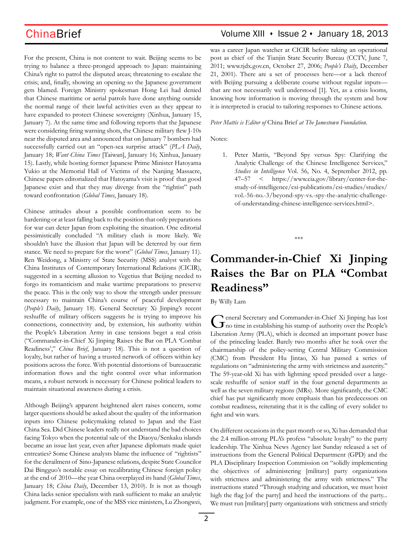For the present, China is not content to wait. Beijing seems to be trying to balance a three-pronged approach to Japan: maintaining China's right to patrol the disputed areas; threatening to escalate the crisis; and, finally, showing an opening so the Japanese government gets blamed. Foreign Ministry spokesman Hong Lei had denied that Chinese maritime or aerial patrols have done anything outside the normal range of their lawful activities even as they appear to have expanded to protect Chinese sovereignty (Xinhua, January 15, January 7). At the same time and following reports that the Japanese were considering firing warning shots, the Chinese military flew J-10s near the disputed area and announced that on January 7 bombers had successfully carried out an "open-sea surprise attack" (*PLA Daily*, January 18; *Want China Times* [Taiwan], January 16; Xinhua, January 15). Lastly, while hosting former Japanese Prime Minister Hatoyama Yukio at the Memorial Hall of Victims of the Nanjing Massacre, Chinese papers editorialized that Hatoyama's visit is proof that good Japanese exist and that they may diverge from the "rightist" path toward confrontation (*Global Times*, January 18).

Chinese attitudes about a possible confrontation seem to be hardening or at least falling back to the position that only preparations for war can deter Japan from exploiting the situation. One editorial pessimistically concluded "A military clash is more likely. We shouldn't have the illusion that Japan will be deterred by our firm stance. We need to prepare for the worst" (*Global Times*, January 11). Ren Weidong, a Ministry of State Security (MSS) analyst with the China Institutes of Contemporary International Relations (CICIR), suggested in a seeming allusion to Vegetius that Beijing needed to forgo its romanticism and make wartime preparations to preserve the peace. This is the only way to show the strength under pressure necessary to maintain China's course of peaceful development (*People's Daily*, January 18). General Secretary Xi Jinping's recent reshuffle of military officers suggests he is trying to improve his connections, connectivity and, by extension, his authority within the People's Liberation Army in case tensions beget a real crisis ("Commander-in-Chief Xi Jinping Raises the Bar on PLA 'Combat Readiness'," *China Brief*, January 18). This is not a question of loyalty, but rather of having a trusted network of officers within key positions across the force. With potential distortions of bureaucratic information flows and the tight control over what information means, a robust network is necessary for Chinese political leaders to maintain situational awareness during a crisis.

Although Beijing's apparent heightened alert raises concern, some larger questions should be asked about the quality of the information inputs into Chinese policymaking related to Japan and the East China Sea. Did Chinese leaders really not understand the bad choices facing Tokyo when the potential sale of the Diaoyu/Senkaku islands became an issue last year, even after Japanese diplomats made quiet entreaties? Some Chinese analysts blame the influence of "rightists" for the derailment of Sino-Japanese relations, despite State Councilor Dai Bingguo's notable essay on recalibrating Chinese foreign policy at the end of 2010—the year China overplayed its hand (*Global Times*, January 18; *China Daily*, December 13, 2010). It is not as though China lacks senior specialists with rank sufficient to make an analytic judgment. For example, one of the MSS vice ministers, Lu Zhongwei,

## ChinaBrief **ChinaBrief** Volume XIII • Issue 2 • January 18, 2013

was a career Japan watcher at CICIR before taking an operational post as chief of the Tianjin State Security Bureau (CCTV, June 7, 2011; www.tjdx.gov.cn, October 27, 2006; *People's Daily*, December 21, 2001). There are a set of processes here—or a lack thereof with Beijing pursuing a deliberate course without regular inputs that are not necessarily well understood [1]. Yet, as a crisis looms, knowing how information is moving through the system and how it is interpreted is crucial to tailoring responses to Chinese actions.

*Peter Mattis is Editor of* China Brief *at The Jamestown Foundation.*

Notes:

1. Peter Mattis, "Beyond Spy versus Spy: Clarifying the Analytic Challenge of the Chinese Intelligence Services," *Studies in Intelligence* Vol. 56, No. 4, September 2012, pp. 47–57 < https://www.cia.gov/library/center-for-thestudy-of-intelligence/csi-publications/csi-studies/studies/ vol.-56-no.-3/beyond-spy-vs.-spy-the-analytic-challengeof-understanding-chinese-intelligence-services.html>.

\*\*\*

# **Commander-in-Chief Xi Jinping Raises the Bar on PLA "Combat Readiness"**

By Willy Lam

General Secretary and Commander-in-Chief Xi Jinping has lost no time in establishing his stamp of authority over the People's Liberation Army (PLA), which is deemed an important power base of the princeling leader. Barely two months after he took over the chairmanship of the policy-setting Central Military Commission (CMC) from President Hu Jintao, Xi has passed a series of regulations on "administering the army with strictness and austerity." The 59-year-old Xi has with lightning speed presided over a largescale reshuffle of senior staff in the four general departments as well as the seven military regions (MRs). More significantly, the CMC chief has put significantly more emphasis than his predecessors on combat readiness, reiterating that it is the calling of every solider to fight and win wars.

On different occasions in the past month or so, Xi has demanded that the 2.4 million-strong PLA's profess "absolute loyalty" to the party leadership. The Xinhua News Agency last Sunday released a set of instructions from the General Political Department (GPD) and the PLA Disciplinary Inspection Commission on "solidly implementing the objectives of administering [military] party organizations with strictness and administering the army with strictness." The instructions stated "Through studying and education, we must hoist high the flag [of the party] and heed the instructions of the party... We must run [military] party organizations with strictness and strictly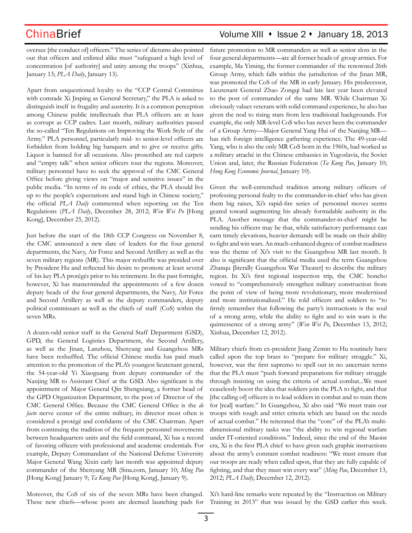# ChinaBrief Volume XIII • Issue 2 • January 18, 2013

oversee [the conduct of] officers." The series of dictums also pointed out that officers and enlisted alike must "safeguard a high level of concentration [of authority] and unity among the troops" (Xinhua, January 13; *PLA Daily*, January 13).

Apart from unquestioned loyalty to the "CCP Central Committee with comrade Xi Jinping as General Secretary," the PLA is asked to distinguish itself in frugality and austerity. It is a common perception among Chinese public intellectuals that PLA officers are at least as corrupt as CCP cadres. Last month, military authorities passed the so-called "Ten Regulations on Improving the Work Style of the Army." PLA personnel, particularly mid- to senior-level officers are forbidden from holding big banquets and to give or receive gifts. Liquor is banned for all occasions. Also proscribed are red carpets and "empty talk" when senior officers tour the regions. Moreover, military personnel have to seek the approval of the CMC General Office before giving views on "major and sensitive issues" in the public media. "In terms of its code of ethics, the PLA should live up to the people's expectations and stand high in Chinese society," the official *PLA Daily* commented when reporting on the Ten Regulations (*PLA Daily*, December 28, 2012; *Wen Wei Po* [Hong Kong], December 25, 2012).

Just before the start of the 18th CCP Congress on November 8, the CMC announced a new slate of leaders for the four general departments, the Navy, Air Force and Second Artillery as well as the seven military regions (MR). This major reshuffle was presided over by President Hu and reflected his desire to promote at least several of his key PLA protégés prior to his retirement. In the past fortnight, however, Xi has masterminded the appointments of a few dozen deputy heads of the four general departments, the Navy, Air Force and Second Artillery as well as the deputy commanders, deputy political commissars as well as the chiefs of staff (CoS) within the seven MRs.

A dozen-odd senior staff in the General Staff Department (GSD), GPD, the General Logistics Department, the Second Artillery, as well as the Jinan, Lanzhou, Shenyang and Guangzhou MRs have been reshuffled. The official Chinese media has paid much attention to the promotion of the PLA's youngest lieutenant general, the 54-year-old Yi Xiaoguang from deputy commander of the Nanjing MR to Assistant Chief at the GSD. Also significant is the appointment of Major General Qin Shengxiang, a former head of the GPD Organization Department, to the post of Director of the CMC General Office. Because the CMC General Office is the *de facto* nerve center of the entire military, its director most often is considered a protégé and confidante of the CMC Chairman. Apart from continuing the tradition of the frequent personnel movements between headquarters units and the field command, Xi has a record of favoring officers with professional and academic credentials. For example, Deputy Commandant of the National Defense University Major General Wang Xixin early last month was appointed deputy commander of the Shenyang MR (Sina.com, January 10; *Ming Pao* [Hong Kong] January 9; *Ta Kung Pao* [Hong Kong], January 9).

Moreover, the CoS of six of the seven MRs have been changed. Xi's hard-line remarks were repeated by the "Instruction on Military These new chiefs—whose posts are deemed launching pads for Training in 2013" that was issued by the GSD earlier this week.

future promotion to MR commanders as well as senior slots in the four general departments—are all former heads of group armies. For example, Ma Yiming, the former commander of the renowned 26th Group Army, which falls within the jurisdiction of the Jinan MR, was promoted the CoS of the MR in early January. His predecessor, Lieutenant General Zhao Zongqi had late last year been elevated to the post of commander of the same MR. While Chairman Xi obviously values veterans with solid command experience, he also has given the nod to rising stars from less traditional backgrounds. For example, the only MR-level CoS who has never been the commander of a Group Army—Major General Yang Hui of the Nanjing MR has rich foreign intelligence gathering experience. The 49-year-old Yang, who is also the only MR CoS born in the 1960s, had worked as a military attaché in the Chinese embassies in Yugoslavia, the Soviet Union and, later, the Russian Federation (*Ta Kung Pao*, January 10; *Hong Kong Economic Journal*, January 10).

Given the well-entrenched tradition among military officers of professing personal fealty to the commander-in-chief who has given them big raises, Xi's rapid-fire series of personnel moves seems geared toward augmenting his already formidable authority in the PLA. Another message that the commander-in-chief might be sending his officers may be that, while satisfactory performance can earn timely elevations, heavier demands will be made on their ability to fight and win wars. An much-enhanced degree of combat readiness was the theme of Xi's visit to the Guangzhou MR last month. It also is significant that the official media used the term Guangzhou Zhanqu [literally Guangzhou War Theater] to describe the military region. In Xi's first regional inspection trip, the CMC honcho vowed to "comprehensively strengthen military construction from the point of view of being more revolutionary, more modernized and more institutionalized." He told officers and soldiers to "to firmly remember that following the party's instructions is the soul of a strong army, while the ability to fight and to win wars is the quintessence of a strong army" (*Wen Wei Po*, December 13, 2012; Xinhua, December 12, 2012).

Military chiefs from ex-president Jiang Zemin to Hu routinely have called upon the top brass to "prepare for military struggle." Xi, however, was the first supremo to spell out in no uncertain terms that the PLA must "push forward preparations for military struggle through insisting on using the criteria of actual combat...We must ceaselessly boost the idea that soldiers join the PLA to fight, and that [the calling of] officers is to lead soldiers in combat and to train them for [real] warfare." In Guangzhou, Xi also said "We must train our troops with tough and strict criteria which are based on the needs of actual combat." He reiterated that the "core" of the PLA's multidimensional military tasks was "the ability to win regional warfare under IT-oriented conditions." Indeed, since the end of the Maoist era, Xi is the first PLA chief to have given such graphic instructions about the army's constant combat readiness: "We must ensure that our troops are ready when called upon, that they are fully capable of fighting, and that they must win every war" (*Ming Pao*, December 13, 2012; *PLA Daily*, December 12, 2012).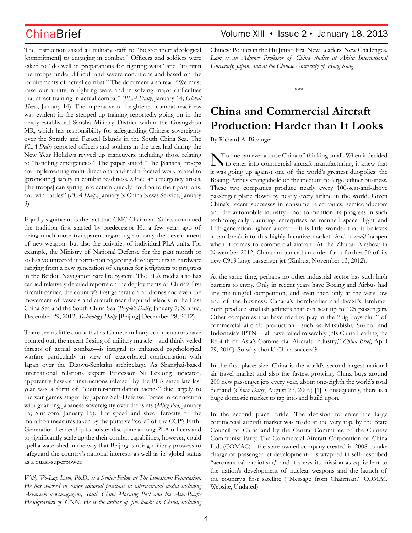The Instruction asked all military staff to "bolster their ideological [commitment] to engaging in combat." Officers and soldiers were asked to "do well in preparations for fighting wars" and "to train the troops under difficult and severe conditions and based on the requirements of actual combat." The document also read "We must raise our ability in fighting wars and in solving major difficulties that affect training in actual combat" (*PLA Daily*, January 14; *Global Times*, January 14). The imperative of heightened combat readiness was evident in the stepped-up training reportedly going on in the newly-established Sansha Military District within the Guangzhou MR, which has responsibility for safeguarding Chinese sovereignty over the Spratly and Paracel Islands in the South China Sea. The *PLA Daily* reported officers and soldiers in the area had during the New Year Holidays revved up maneuvers, including those relating to "handling emergencies." The paper stated "The [Sansha] troops are implementing multi-directional and multi-faceted work related to [promoting] safety in combat readiness...Once an emergency arises, [the troops] can spring into action quickly, hold on to their positions, and win battles" (*PLA Daily*, January 3; China News Service, January 3).

Equally significant is the fact that CMC Chairman Xi has continued the tradition first started by predecessor Hu a few years ago of being much more transparent regarding not only the development of new weapons but also the activities of individual PLA units. For example, the Ministry of National Defense for the past month or so has volunteered information regarding developments in hardware ranging from a new generation of engines for jetfighters to progress in the Beidou Navigation Satellite System. The PLA media also has carried relatively detailed reports on the deployments of China's first aircraft carrier, the country's first generation of drones and even the movement of vessels and aircraft near disputed islands in the East China Sea and the South China Sea (*People's Daily*, January 7; Xinhua, December 29, 2012; *Technology Daily* [Beijing] December 28, 2012).

There seems little doubt that as Chinese military commentators have pointed out, the recent flexing of military muscle—and thinly veiled threats of actual combat—is integral to enhanced psychological warfare particularly in view of exacerbated confrontation with Japan over the Diaoyu-Senkaku archipelago. As Shanghai-based international relations expert Professor Ni Lexiong indicated, apparently hawkish instructions released by the PLA since late last year was a form of "counter-intimidation tactics" due largely to the war games staged by Japan's Self-Defense Forces in connection with guarding Japanese sovereignty over the islets (*Ming Pao*, January 15; Sina.com, January 15). The speed and sheer ferocity of the marathon measures taken by the putative "core" of the CCP's Fifth-Generation Leadership to bolster discipline among PLA officers and to significantly scale up the their combat capabilities, however, could spell a watershed in the way that Beijing is using military prowess to safeguard the country's national interests as well as its global status as a quasi-superpower.

*Willy Wo-Lap Lam, Ph.D., is a Senior Fellow at The Jamestown Foundation. He has worked in senior editorial positions in international media including Asiaweek newsmagazine, South China Morning Post and the Asia-Pacific Headquarters of CNN. He is the author of five books on China, including* 

## ChinaBrief **ChinaBrief** Volume XIII • Issue 2 • January 18, 2013

Chinese Politics in the Hu Jintao Era: New Leaders, New Challenges*. Lam is an Adjunct Professor of China studies at Akita International University, Japan, and at the Chinese University of Hong Kong.*

\*\*\*

# **China and Commercial Aircraft Production: Harder than It Looks**

By Richard A. Bitzinger

No one can ever accuse China of thinking small. When it decided to enter into commercial aircraft manufacturing, it knew that it was going up against one of the world's greatest duopolies: the Boeing-Airbus stranglehold on the medium-to-large jetliner business. These two companies produce nearly every 100-seat-and-above passenger plane flown by nearly every airline in the world. Given China's recent successes in consumer electronics, semiconductors and the automobile industry—not to mention its progress in such technologically daunting enterprises as manned space flight and fifth-generation fighter aircraft—it is little wonder that it believes it can break into this highly lucrative market. And it *could* happen when it comes to commercial aircraft. At the Zhuhai Airshow in November 2012, China announced an order for a further 50 of its new C919 large passenger jet (Xinhua, November 13, 2012).

At the same time, perhaps no other industrial sector has such high barriers to entry. Only in recent years have Boeing and Airbus had any meaningful competition, and even then only at the very low end of the business: Canada's Bombardier and Brazil's Embraer both produce smallish jetliners that can seat up to 125 passengers. Other companies that have tried to play in the "big boys club" of commercial aircraft production—such as Mitsubishi, Sukhoi and Indonesia's IPTN— all have failed miserably ("Is China Leading the Rebirth of Asia's Commercial Aircraft Industry," *China Brief*, April 29, 2010). So why should China succeed?

In the first place: size. China is the world's second largest national air travel market and also the fastest growing. China buys around 200 new passenger jets every year, about one-eighth the world's total demand (*China Daily*, August 27, 2009) [1]. Consequently, there is a huge domestic market to tap into and build upon.

In the second place: pride. The decision to enter the large commercial aircraft market was made at the very top, by the State Council of China and by the Central Committee of the Chinese Communist Party. The Commercial Aircraft Corporation of China Ltd. (COMAC)—the state-owned company created in 2008 to take charge of passenger jet development—is wrapped in self-described "aeronautical patriotism," and it views its mission as equivalent to the nation's development of nuclear weapons and the launch of the country's first satellite ("Message from Chairman," COMAC Website, Undated).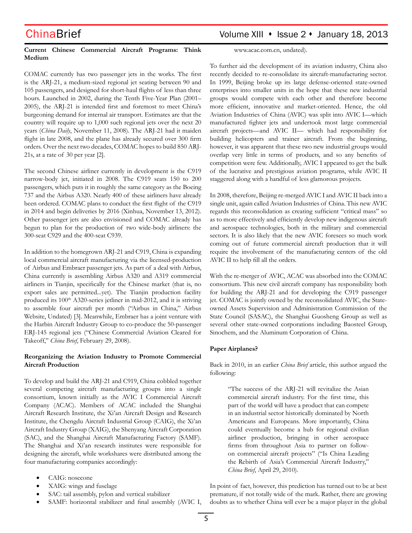# ChinaBrief Volume XIII • Issue 2 • January 18, 2013

### **Current Chinese Commercial Aircraft Programs: Think Medium**

www.acac.com.cn, undated).

COMAC currently has two passenger jets in the works. The first is the ARJ-21, a medium-sized regional jet seating between 90 and 105 passengers, and designed for short-haul flights of less than three hours. Launched in 2002, during the Tenth Five-Year Plan (2001– 2005), the ARJ-21 is intended first and foremost to meet China's burgeoning demand for internal air transport. Estimates are that the country will require up to 1,000 such regional jets over the next 20 years (*China Daily*, November 11, 2008). The ARJ-21 had it maiden flight in late 2008, and the plane has already secured over 300 firm orders. Over the next two decades, COMAC hopes to build 850 ARJ-21s, at a rate of 30 per year [2].

The second Chinese airliner currently in development is the C919 narrow-body jet, initiated in 2008. The C919 seats 150 to 200 passengers, which puts it in roughly the same category as the Boeing 737 and the Airbus A320. Nearly 400 of these airliners have already been ordered. COMAC plans to conduct the first flight of the C919 in 2014 and begin deliveries by 2016 (Xinhua, November 13, 2012). Other passenger jets are also envisioned and COMAC already has begun to plan for the production of two wide-body airliners: the 300-seat C929 and the 400-seat C939.

In addition to the homegrown ARJ-21 and C919, China is expanding local commercial aircraft manufacturing via the licensed-production of Airbus and Embraer passenger jets. As part of a deal with Airbus, China currently is assembling Airbus A320 and A319 commercial airliners in Tianjin, specifically for the Chinese market (that is, no export sales are permitted...yet). The Tianjin production facility produced its 100<sup>th</sup> A320-series jetliner in mid-2012, and it is striving to assemble four aircraft per month ("Airbus in China," Airbus Website, Undated) [3]. Meanwhile, Embraer has a joint venture with the Harbin Aircraft Industry Group to co-produce the 50-passenger ERJ-145 regional jets ("Chinese Commercial Aviation Cleared for Takeoff," *China Brief*, February 29, 2008).

### **Reorganizing the Aviation Industry to Promote Commercial Aircraft Production**

To develop and build the ARJ-21 and C919, China cobbled together several competing aircraft manufacturing groups into a single consortium, known initially as the AVIC I Commercial Aircraft Company (ACAC). Members of ACAC included the Shanghai Aircraft Research Institute, the Xi'an Aircraft Design and Research Institute, the Chengdu Aircraft Industrial Group (CAIG), the Xi'an Aircraft Industry Group (XAIG), the Shenyang Aircraft Corporation (SAC), and the Shanghai Aircraft Manufacturing Factory (SAMF). The Shanghai and Xi'an research institutes were responsible for designing the aircraft, while workshares were distributed among the four manufacturing companies accordingly:

- CAIG: nosecone
- XAIG: wings and fuselage
- SAC: tail assembly, pylon and vertical stabilizer
- SAMF: horizontal stabilizer and final assembly (AVIC I,

To further aid the development of its aviation industry, China also recently decided to re-consolidate its aircraft-manufacturing sector. In 1999, Beijing broke up its large defense-oriented state-owned enterprises into smaller units in the hope that these new industrial groups would compete with each other and therefore become more efficient, innovative and market-oriented. Hence, the old Aviation Industries of China (AVIC) was split into AVIC I—which manufactured fighter jets and undertook most large commercial aircraft projects—and AVIC II— which had responsibility for building helicopters and trainer aircraft. From the beginning, however, it was apparent that these two new industrial groups would overlap very little in terms of products, and so any benefits of competition were few. Additionally, AVIC I appeared to get the bulk of the lucrative and prestigious aviation programs, while AVIC II staggered along with a handful of less glamorous projects.

In 2008, therefore, Beijing re-merged AVIC I and AVIC II back into a single unit, again called Aviation Industries of China. This new AVIC regards this reconsolidation as creating sufficient "critical mass" so as to more effectively and efficiently develop new indigenous aircraft and aerospace technologies, both in the military and commercial sectors. It is also likely that the new AVIC foresees so much work coming out of future commercial aircraft production that it will require the involvement of the manufacturing centers of the old AVIC II to help fill all the orders.

With the re-merger of AVIC, ACAC was absorbed into the COMAC consortium. This new civil aircraft company has responsibility both for building the ARJ-21 and for developing the C919 passenger jet. COMAC is jointly owned by the reconsolidated AVIC, the Stateowned Assets Supervision and Administration Commission of the State Council (SASAC), the Shanghai Guosheng Group as well as several other state-owned corporations including Baosteel Group, Sinochem, and the Aluminum Corporation of China.

### **Paper Airplanes?**

Back in 2010, in an earlier *China Brief* article, this author argued the following:

"The success of the ARJ-21 will revitalize the Asian commercial aircraft industry. For the first time, this part of the world will have a product that can compete in an industrial sector historically dominated by North Americans and Europeans. More importantly, China could eventually become a hub for regional civilian airliner production, bringing in other aerospace firms from throughout Asia to partner on followon commercial aircraft projects" ("Is China Leading the Rebirth of Asia's Commercial Aircraft Industry," *China Brief*, April 29, 2010).

In point of fact, however, this prediction has turned out to be at best premature, if not totally wide of the mark. Rather, there are growing doubts as to whether China will ever be a major player in the global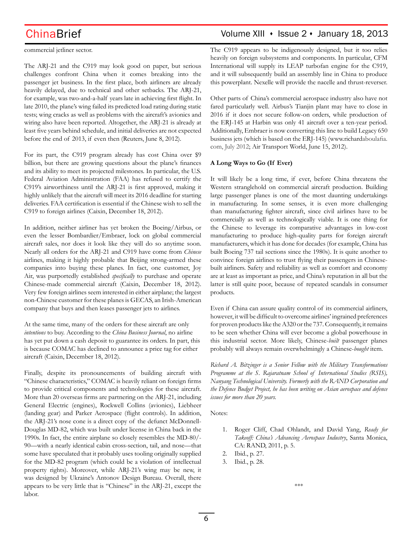commercial jetliner sector.

The ARJ-21 and the C919 may look good on paper, but serious challenges confront China when it comes breaking into the passenger jet business. In the first place, both airliners are already heavily delayed, due to technical and other setbacks. The ARJ-21, for example, was two-and-a-half years late in achieving first flight. In late 2010, the plane's wing failed its predicted load rating during static tests; wing cracks as well as problems with the aircraft's avionics and wiring also have been reported. Altogether, the ARJ-21 is already at least five years behind schedule, and initial deliveries are not expected before the end of 2013, if even then (Reuters, June 8, 2012).

For its part, the C919 program already has cost China over \$9 billion, but there are growing questions about the plane's finances and its ability to meet its projected milestones. In particular, the U.S. Federal Aviation Administration (FAA) has refused to certify the C919's airworthiness until the ARJ-21 is first approved, making it highly unlikely that the aircraft will meet its 2016 deadline for starting deliveries. FAA certification is essential if the Chinese wish to sell the C919 to foreign airlines (Caixin, December 18, 2012).

In addition, neither airliner has yet broken the Boeing/Airbus, or even the lesser Bombardier/Embraer, lock on global commercial aircraft sales, nor does it look like they will do so anytime soon. Nearly all orders for the ARJ-21 and C919 have come from *Chinese* airlines, making it highly probable that Beijing strong-armed these companies into buying these planes. In fact, one customer, Joy Air, was purportedly established *specifically* to purchase and operate Chinese-made commercial aircraft (Caixin, December 18, 2012). Very few foreign airlines seem interested in either airplane; the largest non-Chinese customer for these planes is GECAS, an Irish-American company that buys and then leases passenger jets to airlines.

At the same time, many of the orders for these aircraft are only *intentions* to buy. According to the *China Business Journal*, no airline has yet put down a cash deposit to guarantee its orders. In part, this is because COMAC has declined to announce a price tag for either aircraft (Caixin, December 18, 2012).

Finally, despite its pronouncements of building aircraft with "Chinese characteristics," COMAC is heavily reliant on foreign firms to provide critical components and technologies for these aircraft. More than 20 overseas firms are partnering on the ARJ-21, including General Electric (engines), Rockwell Collins (avionics), Liebheer (landing gear) and Parker Aerospace (flight controls). In addition, the ARJ-21's nose cone is a direct copy of the defunct McDonnell-Douglas MD-82, which was built under license in China back in the 1990s. In fact, the entire airplane so closely resembles the MD-80/- 90—with a nearly identical cabin cross-section, tail, and nose—that some have speculated that it probably uses tooling originally supplied for the MD-82 program (which could be a violation of intellectual property rights). Moreover, while ARJ-21's wing may be new, it was designed by Ukraine's Antonov Design Bureau. Overall, there appears to be very little that is "Chinese" in the ARJ-21, except the labor.

## ChinaBrief **ChinaBrief** Volume XIII • Issue 2 • January 18, 2013

The C919 appears to be indigenously designed, but it too relies heavily on foreign subsystems and components. In particular, CFM International will supply its LEAP turbofan engine for the C919, and it will subsequently build an assembly line in China to produce this powerplant. Nexelle will provide the nacelle and thrust-reverser.

Other parts of China's commercial aerospace industry also have not fared particularly well. Airbus's Tianjin plant may have to close in 2016 if it does not secure follow-on orders, while production of the ERJ-145 at Harbin was only 41 aircraft over a ten-year period. Additionally, Embraer is now converting this line to build Legacy 650 business jets (which is based on the ERJ-145) (www.richardaboulafia. com, July 2012; Air Transport World, June 15, 2012).

### **A Long Ways to Go (If Ever)**

It will likely be a long time, if ever, before China threatens the Western stranglehold on commercial aircraft production. Building large passenger planes is one of the most daunting undertakings in manufacturing. In some senses, it is even more challenging than manufacturing fighter aircraft, since civil airlines have to be commercially as well as technologically viable. It is one thing for the Chinese to leverage its comparative advantages in low-cost manufacturing to produce high-quality parts for foreign aircraft manufacturers, which it has done for decades (for example, China has built Boeing 737 tail sections since the 1980s). It is quite another to convince foreign airlines to trust flying their passengers in Chinesebuilt airliners. Safety and reliability as well as comfort and economy are at least as important as price, and China's reputation in all but the latter is still quite poor, because of repeated scandals in consumer products.

Even if China can assure quality control of its commercial airliners, however, it will be difficult to overcome airlines' ingrained preferences for proven products like the A320 or the 737. Consequently, it remains to be seen whether China will ever become a global powerhouse in this industrial sector. More likely, Chinese-*built* passenger planes probably will always remain overwhelmingly a Chinese-*bought* item.

*Richard A. Bitzinger is a Senior Fellow with the Military Transformations Programme at the S. Rajaratnam School of International Studies (RSIS), Nanyang Technological University. Formerly with the RAND Corporation and the Defence Budget Project, he has been writing on Asian aerospace and defence issues for more than 20 years.*

Notes:

- 1. Roger Cliff, Chad Ohlandt, and David Yang, *Ready for Takeoff: China's Advancing Aerospace Industry*, Santa Monica, CA: RAND, 2011, p. 5.
- 2. Ibid., p. 27.
- 3. Ibid., p. 28.

\*\*\*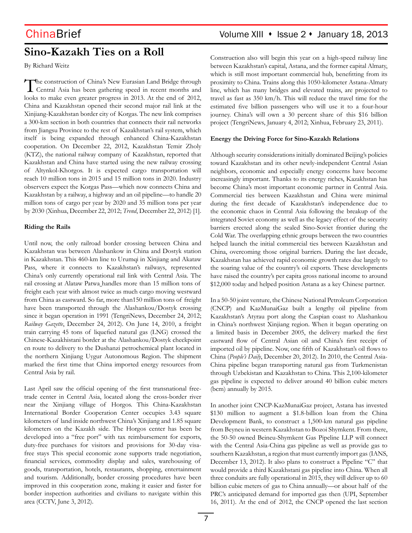# **Sino-Kazakh Ties on a Roll**

By Richard Weitz

The construction of China's New Eurasian Land Bridge through Central Asia has been gathering speed in recent months and looks to make even greater progress in 2013. At the end of 2012, China and Kazakhstan opened their second major rail link at the Xinjiang-Kazakhstan border city of Korgas. The new link comprises a 300-km section in both countries that connects their rail networks from Jiangsu Province to the rest of Kazakhstan's rail system, which itself is being expanded through enhanced China-Kazakhstan cooperation. On December 22, 2012, Kazakhstan Temir Zholy (KTZ), the national railway company of Kazakhstan, reported that Kazakhstan and China have started using the new railway crossing of Altynkol-Khorgos. It is expected cargo transportation will reach 10 million tons in 2015 and 15 million tons in 2020. Industry observers expect the Korgas Pass—which now connects China and Kazakhstan by a railway, a highway and an oil pipeline—to handle 20 million tons of cargo per year by 2020 and 35 million tons per year by 2030 (Xinhua, December 22, 2012; *Trend*, December 22, 2012) [1].

### **Riding the Rails**

Until now, the only railroad border crossing between China and Kazakhstan was between Alashankow in China and Dostyk station in Kazakhstan. This 460-km line to Urumqi in Xinjiang and Akataw Pass, where it connects to Kazakhstan's railways, represented China's only currently operational rail link with Central Asia. The rail crossing at Alataw Patwa handles more than 15 million tons of freight each year with almost twice as much cargo moving westward from China as eastward. So far, more than150 million tons of freight have been transported through the Alashankou/Dostyk crossing since it began operation in 1991 (TengriNews, December 24, 2012; *Railway Gazette*, December 24, 2012). On June 14, 2010, a freight train carrying 45 tons of liquefied natural gas (LNG) crossed the Chinese-Kazakhistani border at the Alashankou/Dostyk checkpoint en route to delivery to the Dushanzi petrochemical plant located in the northern Xinjiang Uygur Autonomous Region. The shipment marked the first time that China imported energy resources from Central Asia by rail.

Last April saw the official opening of the first transnational freetrade center in Central Asia, located along the cross-border river near the Xinjiang village of Horgos. This China-Kazakhstan International Border Cooperation Center occupies 3.43 square kilometers of land inside northwest China's Xinjiang and 1.85 square kilometers on the Kazakh side. The Horgos center has been be developed into a "free port" with tax reimbursement for exports, duty-free purchases for visitors and provisions for 30-day visafree stays This special economic zone supports trade negotiation, financial services, commodity display and sales, warehousing of goods, transportation, hotels, restaurants, shopping, entertainment and tourism. Additionally, border crossing procedures have been improved in this cooperation zone, making it easier and faster for border inspection authorities and civilians to navigate within this area (CCTV, June 3, 2012).

Construction also will begin this year on a high-speed railway line between Kazakhstan's capital, Astana, and the former capital Almaty, which is still most important commercial hub, benefitting from its proximity to China. Trains along this 1050-kilometer Astana-Almaty line, which has many bridges and elevated trains, are projected to travel as fast as 350 km/h. This will reduce the travel time for the estimated five billion passengers who will use it to a four-hour journey. China's will own a 30 percent share of this \$16 billion project (TengriNews, January 4, 2012; Xinhua, February 23, 2011).

### **Energy the Driving Force for Sino-Kazakh Relations**

Although security considerations initially dominated Beijing's policies toward Kazakhstan and its other newly-independent Central Asian neighbors, economic and especially energy concerns have become increasingly important. Thanks to its energy riches, Kazakhstan has become China's most important economic partner in Central Asia. Commercial ties between Kazakhstan and China were minimal during the first decade of Kazakhstan's independence due to the economic chaos in Central Asia following the breakup of the integrated Soviet economy as well as the legacy effect of the security barriers erected along the sealed Sino-Soviet frontier during the Cold War. The overlapping ethnic groups between the two countries helped launch the initial commercial ties between Kazakhstan and China, overcoming those original barriers. During the last decade, Kazakhstan has achieved rapid economic growth rates due largely to the soaring value of the country's oil exports. These developments have raised the country's per capita gross national income to around \$12,000 today and helped position Astana as a key Chinese partner.

In a 50-50 joint venture, the Chinese National Petroleum Corporation (CNCP) and KazMunaiGaz built a lengthy oil pipeline from Kazakhstan's Atyrau port along the Caspian coast to Alashankou in China's northwest Xinjiang region. When it began operating on a limited basis in December 2005, the delivery marked the first eastward flow of Central Asian oil and China's first receipt of imported oil by pipeline. Now, one fifth of Kazakhstan's oil flows to China (*People's Daily*, December 20, 2012). In 2010, the Central Asia-China pipeline began transporting natural gas from Turkmenistan through Uzbekistan and Kazakhstan to China. This 2,100-kilometer gas pipeline is expected to deliver around 40 billion cubic meters (bcm) annually by 2015.

In another joint CNCP-KazMunaiGaz project, Astana has invested \$130 million to augment a \$1.8-billion loan from the China Development Bank, to construct a 1,500-km natural gas pipeline from Beyneu in western Kazakhstan to Bozoi Shymkent. From there, the 50-50 owned Beineu-Shymkent Gas Pipeline LLP will connect with the Central Asia-China gas pipeline as well as provide gas to southern Kazakhstan, a region that must currently import gas (IANS, December 13, 2012). It also plans to construct a Pipeline "C" that would provide a third Kazakhstani gas pipeline into China. When all three conduits are fully operational in 2015, they will deliver up to 60 billion cubic meters of gas to China annually—or about half of the PRC's anticipated demand for imported gas then (UPI, September 16, 2011). At the end of 2012, the CNCP opened the last section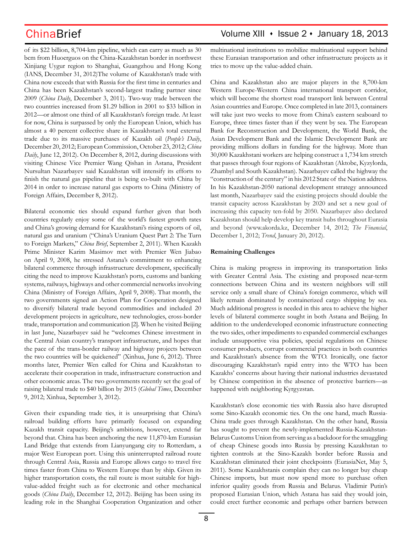of its \$22 billion, 8,704-km pipeline, which can carry as much as 30 bcm from Huoerguos on the China-Kazakhstan border in northwest Xinjiang Uygur region to Shanghai, Guangzhou and Hong Kong (IANS, December 31, 2012)The volume of Kazakhstan's trade with China now exceeds that with Russia for the first time in centuries and China has been Kazakhstan's second-largest trading partner since 2009 (*China Daily*, December 3, 2011). Two-way trade between the two countries increased from \$1.29 billion in 2001 to \$33 billion in 2012—or almost one third of all Kazakhstan's foreign trade. At least for now, China is surpassed by only the European Union, which has almost a 40 percent collective share in Kazakhstan's total external trade due to its massive purchases of Kazakh oil (*People's Daily*, December 20, 2012; European Commission, October 23, 2012; *China Daily*, June 12, 2012). On December 8, 2012, during discussions with visiting Chinese Vice Premier Wang Qishan in Astana, President Nursultan Nazarbayev said Kazakhstan will intensify its efforts to finish the natural gas pipeline that is being co-built with China by 2014 in order to increase natural gas exports to China (Ministry of Foreign Affairs, December 8, 2012).

Bilateral economic ties should expand further given that both countries regularly enjoy some of the world's fastest growth rates and China's growing demand for Kazakhstani's rising exports of oil, natural gas and uranium ("China's Uranium Quest Part 2: The Turn to Foreign Markets," *China Brief*, September 2, 2011). When Kazakh Prime Minister Karim Masimov met with Premier Wen Jiabao on April 9, 2008, he stressed Astana's commitment to enhancing bilateral commerce through infrastructure development, specifically citing the need to improve Kazakhstan's ports, customs and banking systems, railways, highways and other commercial networks involving China (Ministry of Foreign Affairs, April 9, 2008). That month, the two governments signed an Action Plan for Cooperation designed to diversify bilateral trade beyond commodities and included 20 development projects in agriculture, new technologies, cross-border trade, transportation and communication [2]. When he visited Beijing in last June, Nazarbayev said he "welcomes Chinese investment in the Central Asian country's transport infrastructure, and hopes that the pace of the trans-border railway and highway projects between the two countries will be quickened" (Xinhua, June 6, 2012). Three months later, Premier Wen called for China and Kazakhstan to accelerate their cooperation in trade, infrastructure construction and other economic areas. The two governments recently set the goal of raising bilateral trade to \$40 billion by 2015 (*Global Times*, December 9, 2012; Xinhua, September 3, 2012).

Given their expanding trade ties, it is unsurprising that China's railroad building efforts have primarily focused on expanding Kazakh transit capacity. Beijing's ambitions, however, extend far beyond that. China has been anchoring the new 11,870-km Eurasian Land Bridge that extends from Lianyungang city to Rotterdam, a major West European port. Using this uninterrupted railroad route through Central Asia, Russia and Europe allows cargo to travel five times faster from China to Western Europe than by ship. Given its higher transportation costs, the rail route is most suitable for highvalue-added freight such as for electronic and other mechanical goods (*China Daily*, December 12, 2012). Beijing has been using its leading role in the Shanghai Cooperation Organization and other multinational institutions to mobilize multinational support behind these Eurasian transportation and other infrastructure projects as it tries to move up the value-added chain.

China and Kazakhstan also are major players in the 8,700-km Western Europe-Western China international transport corridor, which will become the shortest road transport link between Central Asian countries and Europe. Once completed in late 2013, containers will take just two weeks to move from China's eastern seaboard to Europe, three times faster than if they went by sea. The European Bank for Reconstruction and Development, the World Bank, the Asian Development Bank and the Islamic Development Bank are providing millions dollars in funding for the highway. More than 30,000 Kazakhstani workers are helping construct a 1,734 km stretch that passes through four regions of Kazakhstan (Aktobe, Kyzylorda, Zhambyl and South Kazakhstan). Nazarbayev called the highway the "construction of the century" in his 2012 State of the Nation address. In his Kazakhstan-2050 national development strategy announced last month, Nazarbayev said the existing projects should double the transit capacity across Kazakhstan by 2020 and set a new goal of increasing this capacity ten-fold by 2050. Nazarbayev also declared Kazakhstan should help develop key transit hubs throughout Eurasia and beyond (www.akorda.kz, December 14, 2012; *The Financial*, December 1, 2012; *Trend*, January 20, 2012).

### **Remaining Challenges**

China is making progress in improving its transportation links with Greater Central Asia. The existing and proposed near-term connections between China and its western neighbors will still service only a small share of China's foreign commerce, which will likely remain dominated by containerized cargo shipping by sea. Much additional progress is needed in this area to achieve the higher levels of bilateral commerce sought in both Astana and Beijing. In addition to the underdeveloped economic infrastructure connecting the two sides, other impediments to expanded commercial exchanges include unsupportive visa policies, special regulations on Chinese consumer products, corrupt commercial practices in both countries and Kazakhstan's absence from the WTO. Ironically, one factor discouraging Kazakhstan's rapid entry into the WTO has been Kazakhs' concerns about having their national industries devastated by Chinese competition in the absence of protective barriers—as happened with neighboring Kyrgyzstan.

Kazakhstan's close economic ties with Russia also have disrupted some Sino-Kazakh economic ties. On the one hand, much Russia-China trade goes through Kazakhstan. On the other hand, Russia has sought to prevent the newly-implemented Russia-Kazakhstan-Belarus Customs Union from serving as a backdoor for the smuggling of cheap Chinese goods into Russia by pressing Kazakhstan to tighten controls at the Sino-Kazakh border before Russia and Kazakhstan eliminated their joint checkpoints (EurasiaNet, May 5, 2011). Some Kazakhstanis complain they can no longer buy cheap Chinese imports, but must now spend more to purchase often inferior quality goods from Russia and Belarus. Vladimir Putin's proposed Eurasian Union, which Astana has said they would join, could erect further economic and perhaps other barriers between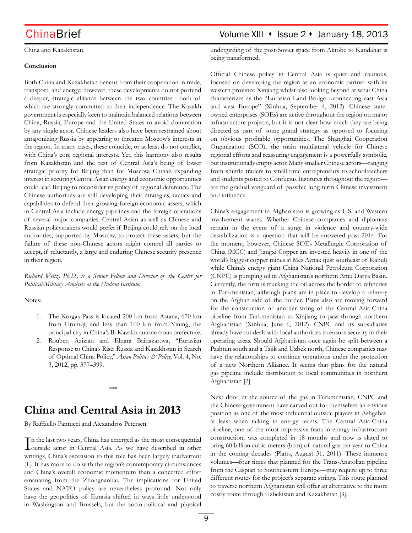China and Kazakhstan.

### **Conclusion**

Both China and Kazakhstan benefit from their cooperation in trade, transport, and energy; however, these developments do not portend a deeper, strategic alliance between the two countries—both of which are strongly committed to their independence. The Kazakh government is especially keen to maintain balanced relations between China, Russia, Europe and the United States to avoid domination by any single actor. Chinese leaders also have been restrained about antagonizing Russia by appearing to threaten Moscow's interests in the region. In many cases, these coincide, or at least do not conflict, with China's core regional interests. Yet, this harmony also results from Kazakhstan and the rest of Central Asia's being of lower strategic priority for Beijing than for Moscow. China's expanding interest in securing Central Asian energy and economic opportunities could lead Beijing to reconsider its policy of regional deference. The Chinese authorities are still developing their strategies, tactics and capabilities to defend their growing foreign economic assets, which in Central Asia include energy pipelines and the foreign operations of several major companies. Central Asian as well as Chinese and Russian policymakers would prefer if Beijing could rely on the local authorities, supported by Moscow, to protect these assets, but the failure of these non-Chinese actors might compel all parties to accept, if reluctantly, a large and enduring Chinese security presence in their region.

*Richard Weitz, Ph.D., is a Senior Fellow and Director of the Center for Political-Military Analysis at the Hudson Institute*.

### Notes:

- 1. The Korgas Pass is located 200 km from Astana, 670 km from Urumqi, and less than 100 km from Yining, the principal city in China's Ili Kazakh autonomous prefecture.
- 2. Rouben Azizian and Elnara Bainazarova, "Eurasian Response to China's Rise: Russia and Kazakhstan in Search of Optimal China Policy," *Asian Politics & Policy,* Vol. 4, No. 3, 2012, pp. 377–399.

\*\*\*

# **China and Central Asia in 2013**

By Raffaello Pantucci and Alexandros Petersen

In the last two years, China has emerged as the most consequential<br>outside actor in Central Asia. As we have described in other n the last two years, China has emerged as the most consequential writings, China's ascension to this role has been largely inadvertent [1]. It has more to do with the region's contemporary circumstances and China's overall economic momentum than a concerted effort emanating from the Zhongnanhai. The implications for United States and NATO policy are nevertheless profound. Not only have the geopolitics of Eurasia shifted in ways little understood in Washington and Brussels, but the socio-political and physical

## ChinaBrief Volume XIII • Issue 2 • January 18, 2013

undergirding of the post-Soviet space from Aktobe to Kandahar is being transformed.

Official Chinese policy in Central Asia is quiet and cautious, focused on developing the region as an economic partner with its western province Xinjiang whilst also looking beyond at what China characterizes as the "Eurasian Land Bridge…connecting east Asia and west Europe" (Xinhua, September 4, 2012). Chinese stateowned enterprises (SOEs) are active throughout the region on major infrastructure projects, but it is not clear how much they are being directed as part of some grand strategy as opposed to focusing on obvious profitable opportunities. The Shanghai Cooperation Organization (SCO), the main multilateral vehicle for Chinese regional efforts and reassuring engagement is a powerfully symbolic, but institutionally empty actor. Many smaller Chinese actors—ranging from shuttle traders to small-time entrepreneurs to schoolteachers and students posted to Confucius Institutes throughout the region are the gradual vanguard of possible long-term Chinese investment and influence.

China's engagement in Afghanistan is growing as U.S. and Western involvement wanes. Whether Chinese companies and diplomats remain in the event of a surge in violence and country-wide destabilization is a question that will be answered post-2014. For the moment, however, Chinese SOEs Metallurgic Corporation of China (MCC) and Jiangxi Copper are invested heavily in one of the world's biggest copper mines at Mes Aynak (just southeast of Kabul) while China's energy giant China National Petroleum Corporation (CNPC) is pumping oil in Afghanistan's northern Amu Darya Basin. Currently, the firm is trucking the oil across the border to refineries in Turkmenistan, although plans are in place to develop a refinery on the Afghan side of the border. Plans also are moving forward for the construction of another string of the Central Asia-China pipeline from Turkmenistan to Xinjiang to pass through northern Afghanistan (Xinhua, June 6, 2012). CNPC and its subsidiaries already have cut deals with local authorities to ensure security in their operating areas. Should Afghanistan once again be split between a Pashtun south and a Tajik and Uzbek north, Chinese companies may have the relationships to continue operations under the protection of a new Northern Alliance. It seems that plans for the natural gas pipeline include distribution to local communities in northern Afghanistan [2].

Next door, at the source of the gas in Turkmenistan, CNPC and the Chinese government have carved out for themselves an envious position as one of the most influential outside players in Ashgabat, at least when talking in energy terms. The Central Asia-China pipeline, one of the most impressive feats in energy infrastructure construction, was completed in 18 months and now is slated to bring 60 billion cubic meters (bcm) of natural gas per year to China in the coming decades (Platts, August 31, 2011). These immense volumes—four times that planned for the Trans-Anatolian pipeline from the Caspian to Southeastern Europe—may require up to three different routes for the project's separate strings. This route planned to traverse northern Afghanistan will offer an alternative to the more costly route through Uzbekistan and Kazakhstan [3].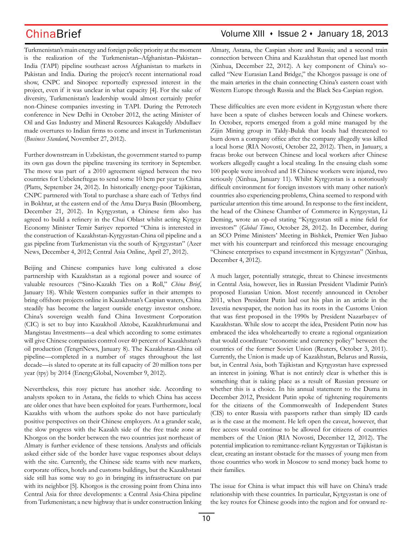Turkmenistan's main energy and foreign policy priority at the moment is the realization of the Turkmenistan–Afghanistan–Pakistan– India (TAPI) pipeline southeast across Afghanistan to markets in Pakistan and India. During the project's recent international road show, CNPC and Sinopec reportedly expressed interest in the project, even if it was unclear in what capacity [4]. For the sake of diversity, Turkmenistan's leadership would almost certainly prefer non-Chinese companies investing in TAPI. During the Petrotech conference in New Delhi in October 2012, the acting Minister of Oil and Gas Industry and Mineral Resources Kakageldy Abdullaev made overtures to Indian firms to come and invest in Turkmenistan (*Business Standard*, November 27, 2012).

Further downstream in Uzbekistan, the government started to pump its own gas down the pipeline traversing its territory in September. The move was part of a 2010 agreement signed between the two countries for Uzbekneftegas to send some 10 bcm per year to China (Platts, September 24, 2012). In historically energy-poor Tajikistan, CNPC partnered with Total to purchase a share each of Tethys find in Bokhtar, at the eastern end of the Amu Darya Basin (Bloomberg, December 21, 2012). In Kyrgyzstan, a Chinese firm also has agreed to build a refinery in the Chui Oblast whilst acting Kyrgyz Economy Minister Temir Sariyev reported "China is interested in the construction of Kazakhstan-Kyrgyzstan-China oil pipeline and a gas pipeline from Turkmenistan via the south of Kyrgyzstan" (Azer News, December 4, 2012; Central Asia Online, April 27, 2012).

Beijing and Chinese companies have long cultivated a close partnership with Kazakhstan as a regional power and source of valuable resources ("Sino-Kazakh Ties on a Roll," *China Brief*, January 18). While Western companies suffer in their attempts to bring offshore projects online in Kazakhstan's Caspian waters, China steadily has become the largest outside energy investor onshore. China's sovereign wealth fund China Investment Corporation (CIC) is set to buy into Kazakhoil Aktobe, Kazakhturkmunai and Mangistau Investments—a deal which according to some estimates will give Chinese companies control over 40 percent of Kazakhstan's oil production (TengriNews, January 8). The Kazakhstan-China oil pipeline—completed in a number of stages throughout the last decade—is slated to operate at its full capacity of 20 million tons per year (tpy) by 2014 (EnergyGlobal, November 9, 2012).

Nevertheless, this rosy picture has another side. According to analysts spoken to in Astana, the fields to which China has access are older ones that have been exploited for years. Furthermore, local Kazakhs with whom the authors spoke do not have particularly positive perspectives on their Chinese employers. At a grander scale, the slow progress with the Kazakh side of the free trade zone at Khorgos on the border between the two countries just northeast of Almaty is further evidence of these tensions. Analysts and officials asked either side of the border have vague responses about delays with the site. Currently, the Chinese side teams with new markets, corporate offices, hotels and customs buildings, but the Kazakhstani side still has some way to go in bringing its infrastructure on par with its neighbor [5]. Khorgos is the crossing point from China into Central Asia for three developments: a Central Asia-China pipeline from Turkmenistan; a new highway that is under construction linking

## ChinaBrief Volume XIII • Issue 2 • January 18, 2013

Almaty, Astana, the Caspian shore and Russia; and a second train connection between China and Kazakhstan that opened last month (Xinhua, December 22, 2012). A key component of China's socalled "New Eurasian Land Bridge," the Khorgos passage is one of the main arteries in the chain connecting China's eastern coast with Western Europe through Russia and the Black Sea-Caspian region.

These difficulties are even more evident in Kyrgyzstan where there have been a spate of clashes between locals and Chinese workers. In October, reports emerged from a gold mine managed by the Zijin Mining group in Taldy-Bulak that locals had threatened to burn down a company office after the company allegedly was killed a local horse (RIA Novosti, October 22, 2012). Then, in January, a fracas broke out between Chinese and local workers after Chinese workers allegedly caught a local stealing. In the ensuing clash some 100 people were involved and 18 Chinese workers were injured, two seriously (Xinhua, January 11). Whilst Kyrgyzstan is a notoriously difficult environment for foreign investors with many other nation's countries also experiencing problems, China seemed to respond with particular attention this time around. In response to the first incident, the head of the Chinese Chamber of Commerce in Kyrgzystan, Li Deming, wrote an op-ed stating "Kyrgyzstan still a mine field for investors" (*Global Times*, October 28, 2012). In December, during an SCO Prime Ministers' Meeting in Bishkek, Premier Wen Jiabao met with his counterpart and reinforced this message encouraging "Chinese enterprises to expand investment in Kyrgyzstan" (Xinhua, December 4, 2012).

A much larger, potentially strategic, threat to Chinese investments in Central Asia, however, lies in Russian President Vladimir Putin's proposed Eurasian Union. Most recently announced in October 2011, when President Putin laid out his plan in an article in the Izvestia newspaper, the notion has its roots in the Customs Union that was first proposed in the 1990s by President Nazarbayev of Kazakhstan. While slow to accept the idea, President Putin now has embraced the idea wholeheartedly to create a regional organization that would coordinate "economic and currency policy" between the countries of the former Soviet Union (Reuters, October 3, 2011). Currently, the Union is made up of Kazakhstan, Belarus and Russia, but, in Central Asia, both Tajikistan and Kyrgyzstan have expressed an interest in joining. What is not entirely clear is whether this is something that is taking place as a result of Russian pressure or whether this is a choice. In his annual statement to the Duma in December 2012, President Putin spoke of tightening requirements for the citizens of the Commonwealth of Independent States (CIS) to enter Russia with passports rather than simply ID cards as is the case at the moment. He left open the caveat, however, that free access would continue to be allowed for citizens of countries members of the Union (RIA Novosti, December 12, 2012). The potential implication to remittance-reliant Kyrgyzstan or Tajikistan is clear, creating an instant obstacle for the masses of young men from those countries who work in Moscow to send money back home to their families.

The issue for China is what impact this will have on China's trade relationship with these countries. In particular, Kyrgyzstan is one of the key routes for Chinese goods into the region and for onward re-